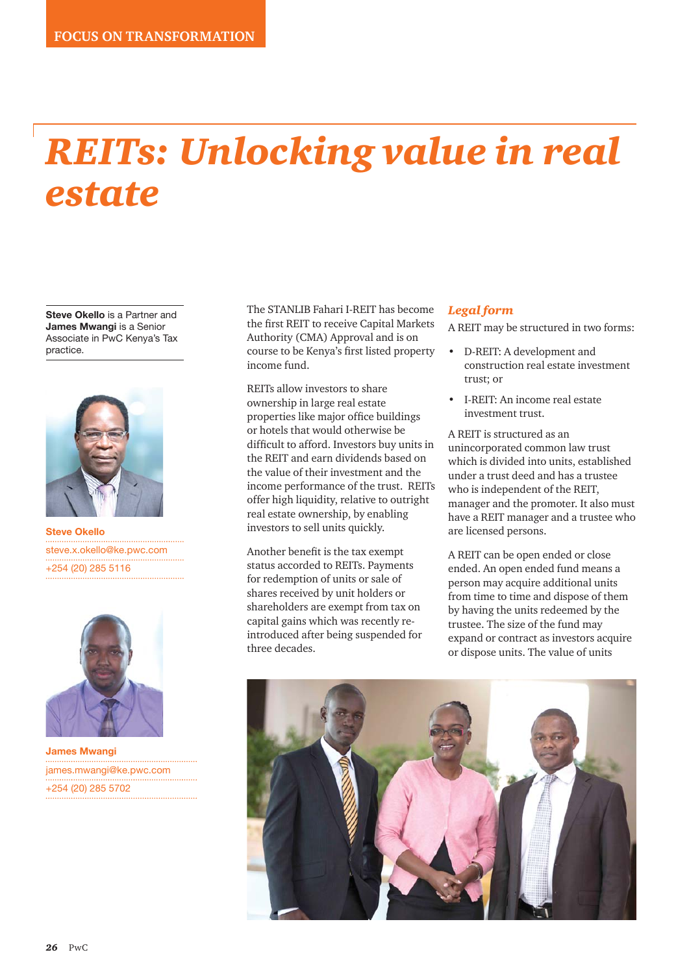# *REITs: Unlocking value in real estate*

**Steve Okello** is a Partner and **James Mwangi** is a Senior Associate in PwC Kenya's Tax practice.



**Steve Okello** steve.x.okello@ke.pwc.com +254 (20) 285 5116



**James Mwangi** james.mwangi@ke.pwc.com +254 (20) 285 5702

The STANLIB Fahari I-REIT has become the first REIT to receive Capital Markets Authority (CMA) Approval and is on course to be Kenya's first listed property income fund.

REITs allow investors to share ownership in large real estate properties like major office buildings or hotels that would otherwise be difficult to afford. Investors buy units in the REIT and earn dividends based on the value of their investment and the income performance of the trust. REITs offer high liquidity, relative to outright real estate ownership, by enabling investors to sell units quickly.

Another benefit is the tax exempt status accorded to REITs. Payments for redemption of units or sale of shares received by unit holders or shareholders are exempt from tax on capital gains which was recently reintroduced after being suspended for three decades.

#### *Legal form*

A REIT may be structured in two forms:

- D-REIT: A development and construction real estate investment trust; or
- I-REIT: An income real estate investment trust.

A REIT is structured as an unincorporated common law trust which is divided into units, established under a trust deed and has a trustee who is independent of the REIT, manager and the promoter. It also must have a REIT manager and a trustee who are licensed persons.

A REIT can be open ended or close ended. An open ended fund means a person may acquire additional units from time to time and dispose of them by having the units redeemed by the trustee. The size of the fund may expand or contract as investors acquire or dispose units. The value of units